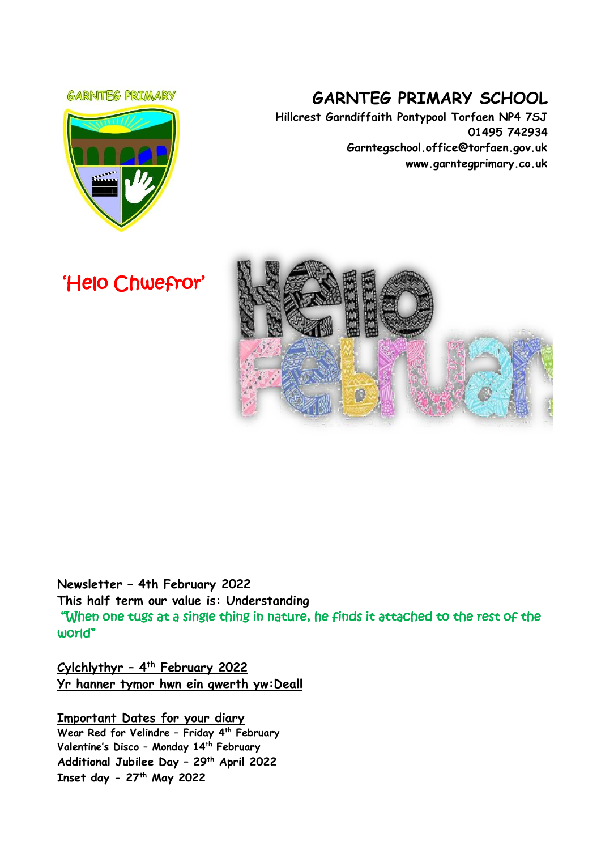#### **GARNITEG PRIMARY**



# **GARNTEG PRIMARY SCHOOL**

**Hillcrest Garndiffaith Pontypool Torfaen NP4 7SJ 01495 742934 Garntegschool.office@torfaen.gov.uk www.garntegprimary.co.uk**

'Helo Chwefror'



**Newsletter – 4th February 2022**

**This half term our value is: Understanding**

"When one tugs at a single thing in nature, he finds it attached to the rest of the world"

**Cylchlythyr – 4 th February 2022 Yr hanner tymor hwn ein gwerth yw:Deall**

**Important Dates for your diary Wear Red for Velindre – Friday 4th February Valentine's Disco – Monday 14th February Additional Jubilee Day – 29th April 2022 Inset day - 27th May 2022**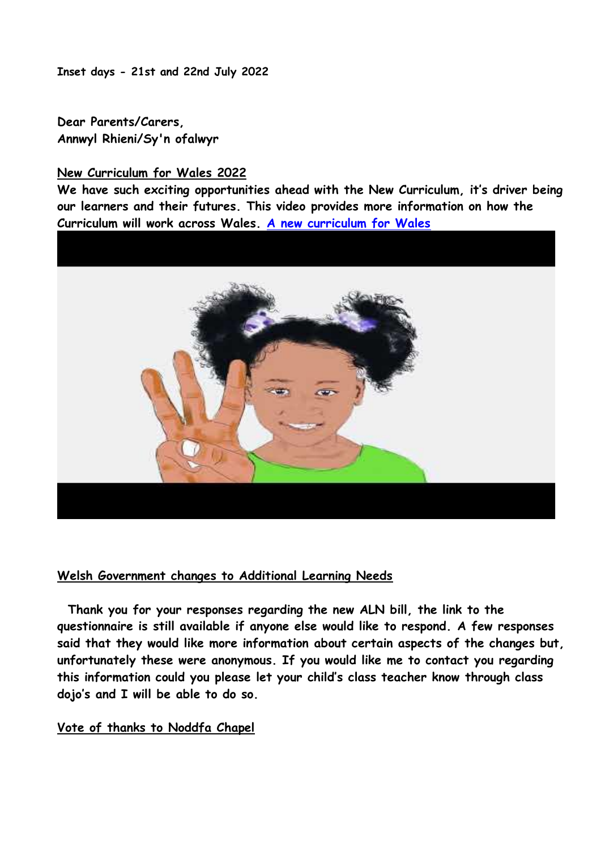**Inset days - 21st and 22nd July 2022**

**Dear Parents/Carers, Annwyl Rhieni/Sy'n ofalwyr**

#### **New Curriculum for Wales 2022**

**We have such exciting opportunities ahead with the New Curriculum, it's driver being our learners and their futures. This video provides more information on how the Curriculum will work across Wales. [A new curriculum for Wales](https://youtu.be/3lTF3OYafPM)**



#### **Welsh Government changes to Additional Learning Needs**

 **Thank you for your responses regarding the new ALN bill, the link to the questionnaire is still available if anyone else would like to respond. A few responses said that they would like more information about certain aspects of the changes but, unfortunately these were anonymous. If you would like me to contact you regarding this information could you please let your child's class teacher know through class dojo's and I will be able to do so.**

#### **Vote of thanks to Noddfa Chapel**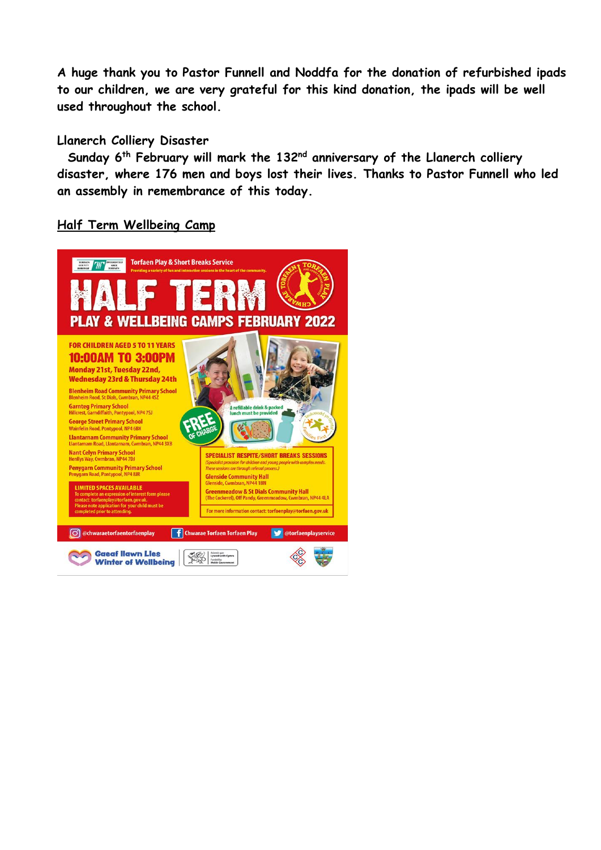**A huge thank you to Pastor Funnell and Noddfa for the donation of refurbished ipads to our children, we are very grateful for this kind donation, the ipads will be well used throughout the school.**

#### **Llanerch Colliery Disaster**

 **Sunday 6 th February will mark the 132nd anniversary of the Llanerch colliery disaster, where 176 men and boys lost their lives. Thanks to Pastor Funnell who led an assembly in remembrance of this today.**

#### **Half Term Wellbeing Camp**

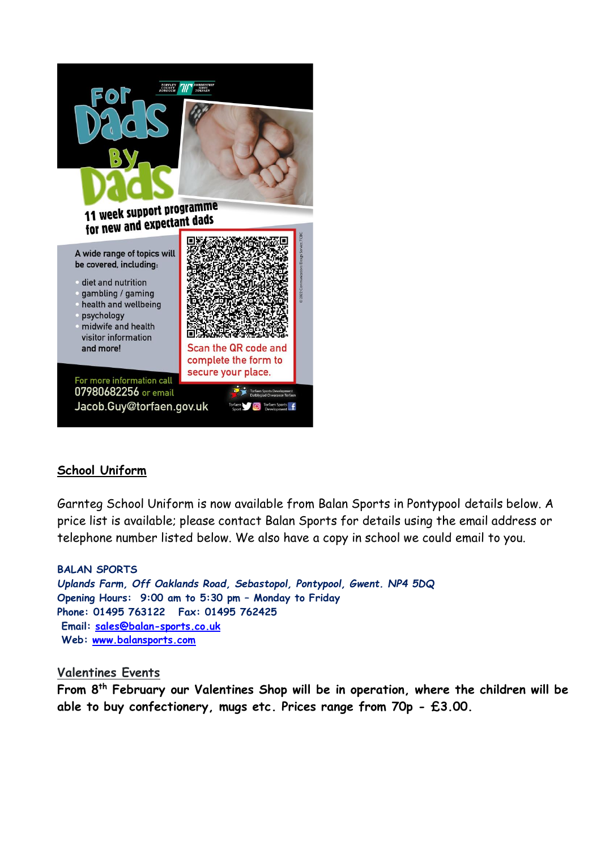

# **School Uniform**

Garnteg School Uniform is now available from Balan Sports in Pontypool details below. A price list is available; please contact Balan Sports for details using the email address or telephone number listed below. We also have a copy in school we could email to you.

**BALAN SPORTS** *Uplands Farm, Off Oaklands Road, Sebastopol, Pontypool, Gwent. NP4 5DQ* **Opening Hours: 9:00 am to 5:30 pm – Monday to Friday Phone: 01495 763122 Fax: 01495 762425 Email: [sales@balan-sports.co.uk](mailto:sales@balan-sports.co.uk) Web: [www.balansports.com](https://eur03.safelinks.protection.outlook.com/?url=http%3A%2F%2Fwww.balansports.com%2F&data=04%7C01%7CSharron.Williams%40torfaen.gov.uk%7Ca80cdb7d45af4e7320ae08d9e56b74e2%7C2c4d0079c52c4bb3b3cad8eaf1b6b7d5%7C0%7C0%7C637793071943969031%7CUnknown%7CTWFpbGZsb3d8eyJWIjoiMC4wLjAwMDAiLCJQIjoiV2luMzIiLCJBTiI6Ik1haWwiLCJXVCI6Mn0%3D%7C3000&sdata=%2FrtfbrCfGLLegnTw%2FZ46GZ4zpz23WAE2bcGIRUBZnxQ%3D&reserved=0)**

## **Valentines Events**

**From 8th February our Valentines Shop will be in operation, where the children will be able to buy confectionery, mugs etc. Prices range from 70p - £3.00.**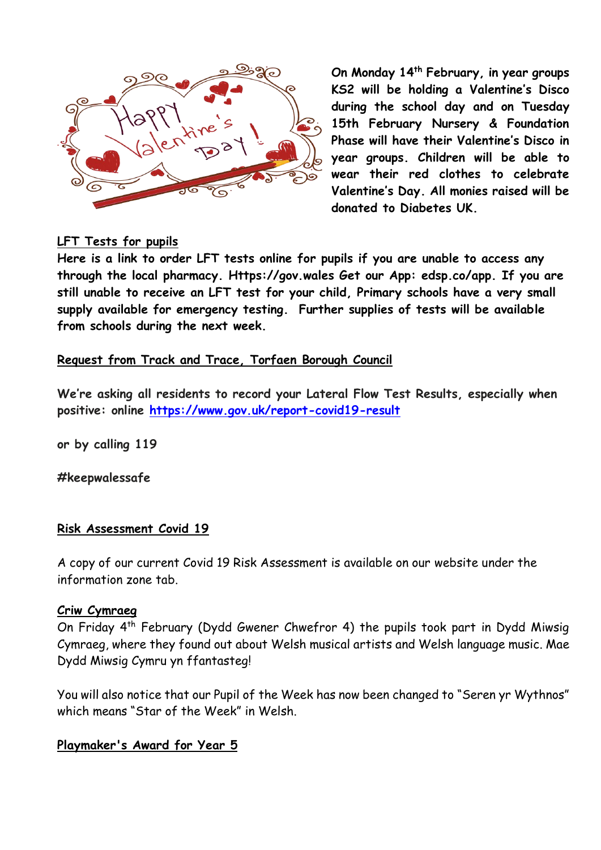

**On Monday 14th February, in year groups KS2 will be holding a Valentine's Disco during the school day and on Tuesday 15th February Nursery & Foundation Phase will have their Valentine's Disco in year groups. Children will be able to wear their red clothes to celebrate Valentine's Day. All monies raised will be donated to Diabetes UK.**

# **LFT Tests for pupils**

**Here is a link to order LFT tests online for pupils if you are unable to access any through the local pharmacy. Https://gov.wales Get our App: edsp.co/app. If you are still unable to receive an LFT test for your child, Primary schools have a very small supply available for emergency testing. Further supplies of tests will be available from schools during the next week.**

#### **Request from Track and Trace, Torfaen Borough Council**

**We're asking all residents to record your Lateral Flow Test Results, especially when positive: online [https://www.gov.uk/report-covid19-result](https://eur03.safelinks.protection.outlook.com/?url=https%3A%2F%2Fscanmail.trustwave.com%2F%3Fc%3D261%26d%3DzLvc4fCyhjZft3Z9E_k9Mt_moCL0tnrCFqEYNAiykg%26u%3Dhttps%253a%252f%252femea01.safelinks.protection.outlook.com%252f%253furl%253dhttps%25253A%25252F%25252Fwww.gov.uk%25252Freport-covid19-result%2526data%253d04%25257C01%25257C%25257Ce5f565d7534b4691b74608d9d43f3811%25257C84df9e7fe9f640afb435aaaaaaaaaaaa%25257C1%25257C0%25257C637774190252669384%25257CUnknown%25257CTWFpbGZsb3d8eyJWIjoiMC4wLjAwMDAiLCJQIjoiV2luMzIiLCJBTiI6Ik1haWwiLCJXVCI6Mn0%25253D%25257C3000%2526sdata%253dqftNUncb9TmeugmOV50U00SjpKBAGP2KucQJyzx%25252Bupo%25253D%2526reserved%253d0&data=04%7C01%7CSharron.Williams%40torfaen.gov.uk%7C6c427a428e094bcf6cb108d9d6a015cb%7C2c4d0079c52c4bb3b3cad8eaf1b6b7d5%7C0%7C0%7C637776805314522285%7CUnknown%7CTWFpbGZsb3d8eyJWIjoiMC4wLjAwMDAiLCJQIjoiV2luMzIiLCJBTiI6Ik1haWwiLCJXVCI6Mn0%3D%7C3000&sdata=TofgKOVmjydR7IoCB1pTW4PhPDoiOrC26dJp0JDzAfU%3D&reserved=0)**

**or by calling 119**

**#keepwalessafe**

#### **Risk Assessment Covid 19**

A copy of our current Covid 19 Risk Assessment is available on our website under the information zone tab.

#### **Criw Cymraeg**

On Friday 4th February (Dydd Gwener Chwefror 4) the pupils took part in Dydd Miwsig Cymraeg, where they found out about Welsh musical artists and Welsh language music. Mae Dydd Miwsig Cymru yn ffantasteg!

You will also notice that our Pupil of the Week has now been changed to "Seren yr Wythnos" which means "Star of the Week" in Welsh.

#### **Playmaker's Award for Year 5**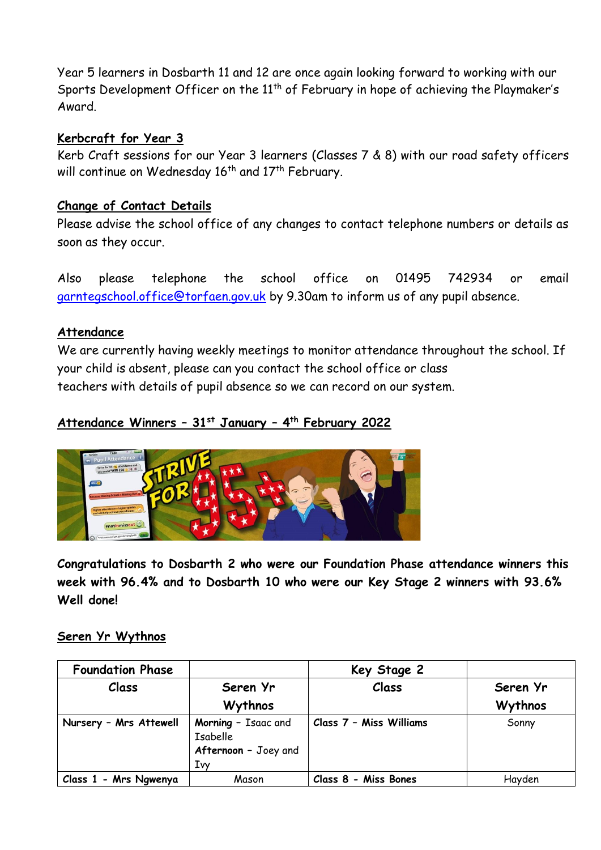Year 5 learners in Dosbarth 11 and 12 are once again looking forward to working with our Sports Development Officer on the 11<sup>th</sup> of February in hope of achieving the Playmaker's Award.

## **Kerbcraft for Year 3**

Kerb Craft sessions for our Year 3 learners (Classes 7 & 8) with our road safety officers will continue on Wednesday  $16<sup>th</sup>$  and  $17<sup>th</sup>$  February.

## **Change of Contact Details**

Please advise the school office of any changes to contact telephone numbers or details as soon as they occur.

Also please telephone the school office on 01495 742934 or email [garntegschool.office@torfaen.gov.uk](mailto:garntegschool.office@torfaen.gov.uk) by 9.30am to inform us of any pupil absence.

## **Attendance**

We are currently having weekly meetings to monitor attendance throughout the school. If your child is absent, please can you contact the school office or class teachers with details of pupil absence so we can record on our system.

## **Attendance Winners – 31st January – 4 th February 2022**



**Congratulations to Dosbarth 2 who were our Foundation Phase attendance winners this week with 96.4% and to Dosbarth 10 who were our Key Stage 2 winners with 93.6% Well done!**

## **Seren Yr Wythnos**

| <b>Foundation Phase</b> |                                                               | Key Stage 2             |          |
|-------------------------|---------------------------------------------------------------|-------------------------|----------|
| Class                   | Seren Yr                                                      | Class                   | Seren Yr |
|                         | Wythnos                                                       |                         | Wythnos  |
| Nursery - Mrs Attewell  | Morning - Isaac and<br>Isabelle<br>Afternoon - Joey and<br>Iw | Class 7 - Miss Williams | Sonny    |
| Class 1 - Mrs Ngwenya   | Mason                                                         | Class 8 - Miss Bones    | Hayden   |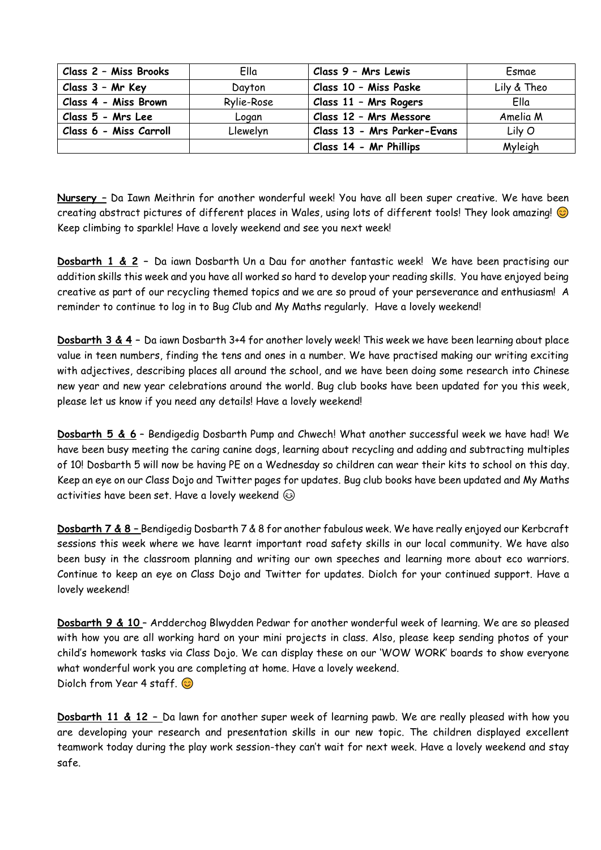| Class 2 - Miss Brooks  | Ella       | Class 9 - Mrs Lewis         | Esmae       |
|------------------------|------------|-----------------------------|-------------|
| Class 3 - Mr Key       | Davton     | Class 10 - Miss Paske       | Lily & Theo |
| Class 4 - Miss Brown   | Rylie-Rose | Class 11 - Mrs Rogers       | Ella        |
| Class 5 - Mrs Lee      | Logan      | Class 12 - Mrs Messore      | Amelia M    |
| Class 6 - Miss Carroll | Llewelyn   | Class 13 - Mrs Parker-Evans | Lily O      |
|                        |            | Class 14 - Mr Phillips      | Myleigh     |

**Nursery –** Da Iawn Meithrin for another wonderful week! You have all been super creative. We have been creating abstract pictures of different places in Wales, using lots of different tools! They look amazing!  $\odot$ Keep climbing to sparkle! Have a lovely weekend and see you next week!

**Dosbarth 1 & 2 –** Da iawn Dosbarth Un a Dau for another fantastic week! We have been practising our addition skills this week and you have all worked so hard to develop your reading skills. You have enjoyed being creative as part of our recycling themed topics and we are so proud of your perseverance and enthusiasm! A reminder to continue to log in to Bug Club and My Maths regularly. Have a lovely weekend!

**Dosbarth 3 & 4 –** Da iawn Dosbarth 3+4 for another lovely week! This week we have been learning about place value in teen numbers, finding the tens and ones in a number. We have practised making our writing exciting with adjectives, describing places all around the school, and we have been doing some research into Chinese new year and new year celebrations around the world. Bug club books have been updated for you this week, please let us know if you need any details! Have a lovely weekend!

**Dosbarth 5 & 6** – Bendigedig Dosbarth Pump and Chwech! What another successful week we have had! We have been busy meeting the caring canine dogs, learning about recycling and adding and subtracting multiples of 10! Dosbarth 5 will now be having PE on a Wednesday so children can wear their kits to school on this day. Keep an eye on our Class Dojo and Twitter pages for updates. Bug club books have been updated and My Maths activities have been set. Have a lovely weekend  $\circledcirc$ 

**Dosbarth 7 & 8 –** Bendigedig Dosbarth 7 & 8 for another fabulous week. We have really enjoyed our Kerbcraft sessions this week where we have learnt important road safety skills in our local community. We have also been busy in the classroom planning and writing our own speeches and learning more about eco warriors. Continue to keep an eye on Class Dojo and Twitter for updates. Diolch for your continued support. Have a lovely weekend!

**Dosbarth 9 & 10** – Ardderchog Blwydden Pedwar for another wonderful week of learning. We are so pleased with how you are all working hard on your mini projects in class. Also, please keep sending photos of your child's homework tasks via Class Dojo. We can display these on our 'WOW WORK' boards to show everyone what wonderful work you are completing at home. Have a lovely weekend. Diolch from Year 4 staff. @

**Dosbarth 11 & 12 –** Da lawn for another super week of learning pawb. We are really pleased with how you are developing your research and presentation skills in our new topic. The children displayed excellent teamwork today during the play work session-they can't wait for next week. Have a lovely weekend and stay safe.